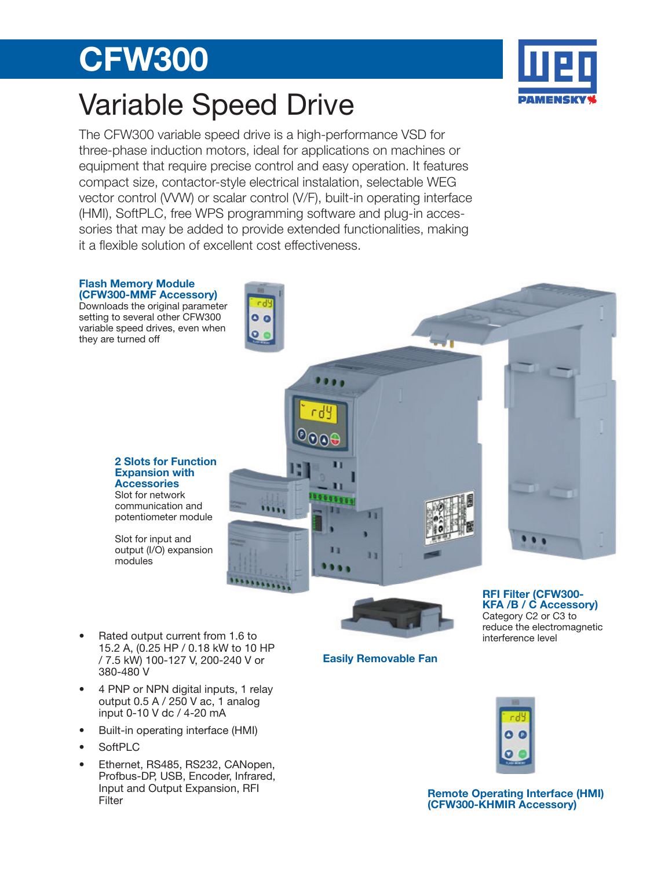# CFW300

## Variable Speed Drive

The CFW300 variable speed drive is a high-performance VSD for three-phase induction motors, ideal for applications on machines or equipment that require precise control and easy operation. It features compact size, contactor-style electrical instalation, selectable WEG vector control (VVW) or scalar control (V/F), built-in operating interface (HMI), SoftPLC, free WPS programming software and plug-in accessories that may be added to provide extended functionalities, making it a flexible solution of excellent cost effectiveness.

 $\mathbf{0}$ 

### Flash Memory Module (CFW300-MMF Accessory)

Downloads the original parameter setting to several other CFW300 variable speed drives, even when they are turned off

### 2 Slots for Function Expansion with **Accessories**

Slot for network communication and potentiometer module

Slot for input and output (I/O) expansion modules

Easily Removable Fan

RFI Filter (CFW300- KFA /B / C Accessory) Category C2 or C3 to reduce the electromagnetic interference level

## Remote Operating Interface (HMI) (CFW300-KHMIR Accessory)



- 4 PNP or NPN digital inputs, 1 relay output 0.5 A / 250 V ac, 1 analog input 0-10 V dc / 4-20 mA
- Built-in operating interface (HMI)
- SoftPLC
- Ethernet, RS485, RS232, CANopen, Profbus-DP, USB, Encoder, Infrared, Input and Output Expansion, RFI Filter